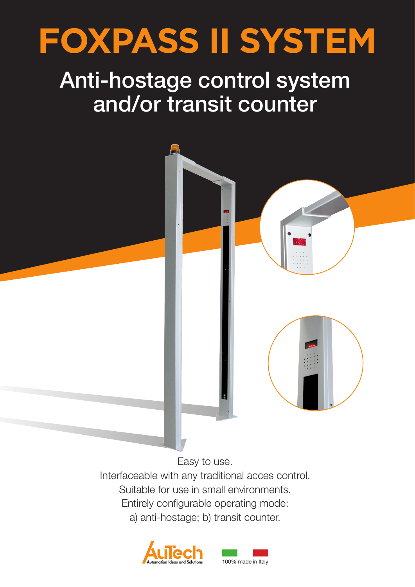

## Anti-hostage control system and/or transit counter



Easy to use. Interfaceable with any traditional acces control. Suitable for use in small environments. Entirely configurable operating mode: a) anti-hostage; b) transit counter.



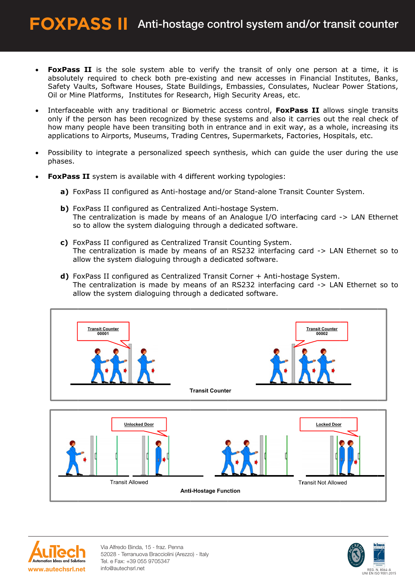- FoxPass II is the sole system able to verify the transit of only one person at a time, it is absolutely required to check both pre-existing and new accesses in Financial Institutes, Banks, Safety Vaults, Software Houses, State Buildings, Embassies, Consulates, Nuclear Power Stations, Oil or Mine Platforms, Institutes for Research, High Security Areas, etc.
- Interfaceable with any traditional or Biometric access control, FoxPass II allows single transits  $\bullet$ only if the person has been recognized by these systems and also it carries out the real check of how many people have been transiting both in entrance and in exit way, as a whole, increasing its applications to Airports, Museums, Trading Centres, Supermarkets, Factories, Hospitals, etc.
- Possibility to integrate a personalized speech synthesis, which can guide the user during the use phases.
- FoxPass II system is available with 4 different working typologies:
	- a) FoxPass II configured as Anti-hostage and/or Stand-alone Transit Counter System.
	- b) FoxPass II configured as Centralized Anti-hostage System. The centralization is made by means of an Analogue I/O interfacing card -> LAN Ethernet so to allow the system dialoguing through a dedicated software.
	- c) FoxPass II configured as Centralized Transit Counting System. The centralization is made by means of an RS232 interfacing card -> LAN Ethernet so to allow the system dialoguing through a dedicated software.
	- d) FoxPass II configured as Centralized Transit Corner + Anti-hostage System. The centralization is made by means of an RS232 interfacing card -> LAN Ethernet so to allow the system dialoguing through a dedicated software.





Via Alfredo Binda, 15 - fraz. Penna 52028 - Terranuova Bracciolini (Arezzo) - Italy Tel. e Fax: +39 055 9705347 info@autechsrl.net